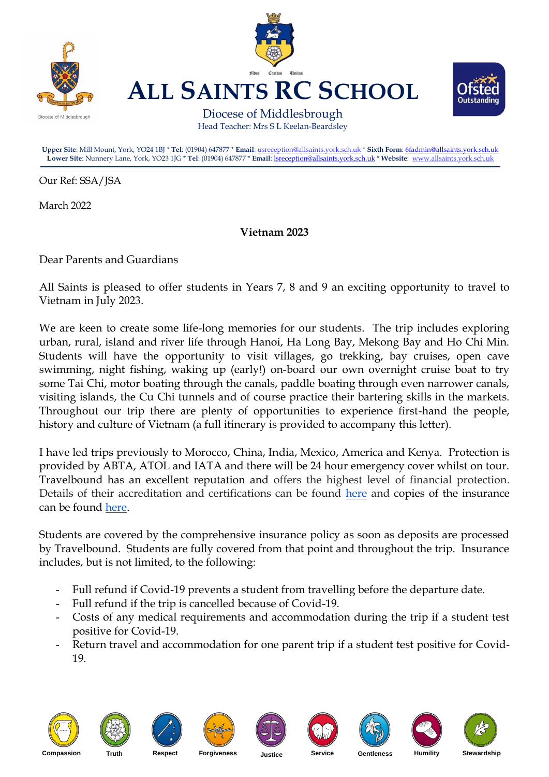





Head Teacher: Mrs S L Keelan-Beardsley

**Upper Site**: Mill Mount, York, YO24 1BJ \* **Tel**: (01904) 647877 \* **Email**[: usreception@allsaints.york.sch.uk](mailto:usreception@allsaints.york.sch.uk) \* **Sixth Form**[: 6fadmin@allsaints.york.sch.uk](mailto:6fadmin@allsaints.york.sch.uk) **Lower Site**: Nunnery Lane, York, YO23 1JG \* **Tel**: (01904) 647877 \* **Email**[: lsreception@allsaints.york.sch.uk](mailto:lsreception@allsaints.york.sch.uk) \* **Website**: www.allsaints.york.sch.uk

Our Ref: SSA/JSA

March 2022

# **Vietnam 2023**

Dear Parents and Guardians

All Saints is pleased to offer students in Years 7, 8 and 9 an exciting opportunity to travel to Vietnam in July 2023.

We are keen to create some life-long memories for our students. The trip includes exploring urban, rural, island and river life through Hanoi, Ha Long Bay, Mekong Bay and Ho Chi Min. Students will have the opportunity to visit villages, go trekking, bay cruises, open cave swimming, night fishing, waking up (early!) on-board our own overnight cruise boat to try some Tai Chi, motor boating through the canals, paddle boating through even narrower canals, visiting islands, the Cu Chi tunnels and of course practice their bartering skills in the markets. Throughout our trip there are plenty of opportunities to experience first-hand the people, history and culture of Vietnam (a full itinerary is provided to accompany this letter).

I have led trips previously to Morocco, China, India, Mexico, America and Kenya. Protection is provided by ABTA, ATOL and IATA and there will be 24 hour emergency cover whilst on tour. Travelbound has an excellent reputation and offers the highest level of financial protection. Details of their accreditation and certifications can be found [here](https://www.travelbound.co.uk/about-us/accreditations/) and copies of the insurance can be found [here.](https://www.travelbound.co.uk/how-we-help/school-trip-insurance/)

Students are covered by the comprehensive insurance policy as soon as deposits are processed by Travelbound. Students are fully covered from that point and throughout the trip. Insurance includes, but is not limited, to the following:

- Full refund if Covid-19 prevents a student from travelling before the departure date.
- Full refund if the trip is cancelled because of Covid-19.
- Costs of any medical requirements and accommodation during the trip if a student test positive for Covid-19.
- Return travel and accommodation for one parent trip if a student test positive for Covid-19.



















**Compassion Truth Respect Forgiveness Justice Service Gentleness Humility Stewardship**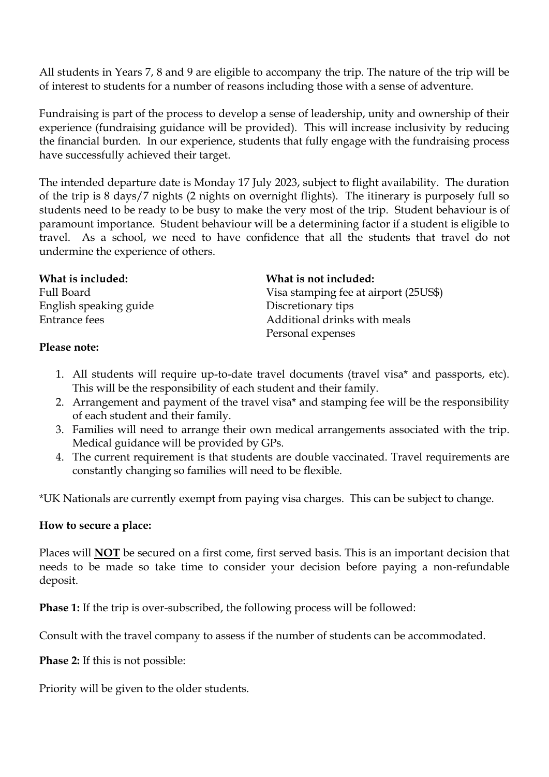All students in Years 7, 8 and 9 are eligible to accompany the trip. The nature of the trip will be of interest to students for a number of reasons including those with a sense of adventure.

Fundraising is part of the process to develop a sense of leadership, unity and ownership of their experience (fundraising guidance will be provided). This will increase inclusivity by reducing the financial burden. In our experience, students that fully engage with the fundraising process have successfully achieved their target.

The intended departure date is Monday 17 July 2023, subject to flight availability. The duration of the trip is 8 days/7 nights (2 nights on overnight flights). The itinerary is purposely full so students need to be ready to be busy to make the very most of the trip. Student behaviour is of paramount importance. Student behaviour will be a determining factor if a student is eligible to travel. As a school, we need to have confidence that all the students that travel do not undermine the experience of others.

| What is included:      | What is not included:                 |
|------------------------|---------------------------------------|
| Full Board             | Visa stamping fee at airport (25US\$) |
| English speaking guide | Discretionary tips                    |
| Entrance fees          | Additional drinks with meals          |
|                        | Personal expenses                     |

#### **Please note:**

- 1. All students will require up-to-date travel documents (travel visa\* and passports, etc). This will be the responsibility of each student and their family.
- 2. Arrangement and payment of the travel visa\* and stamping fee will be the responsibility of each student and their family.
- 3. Families will need to arrange their own medical arrangements associated with the trip. Medical guidance will be provided by GPs.
- 4. The current requirement is that students are double vaccinated. Travel requirements are constantly changing so families will need to be flexible.

\*UK Nationals are currently exempt from paying visa charges. This can be subject to change.

#### **How to secure a place:**

Places will **NOT** be secured on a first come, first served basis. This is an important decision that needs to be made so take time to consider your decision before paying a non-refundable deposit.

**Phase 1:** If the trip is over-subscribed, the following process will be followed:

Consult with the travel company to assess if the number of students can be accommodated.

**Phase 2:** If this is not possible:

Priority will be given to the older students.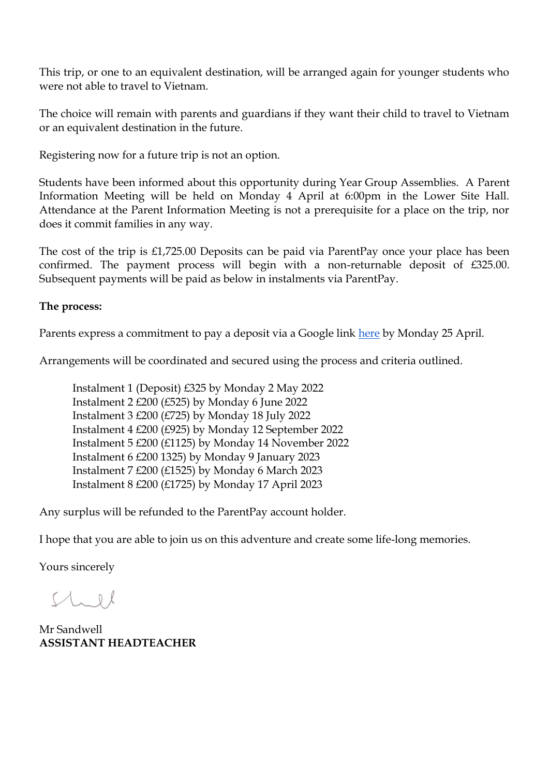This trip, or one to an equivalent destination, will be arranged again for younger students who were not able to travel to Vietnam.

The choice will remain with parents and guardians if they want their child to travel to Vietnam or an equivalent destination in the future.

Registering now for a future trip is not an option.

Students have been informed about this opportunity during Year Group Assemblies. A Parent Information Meeting will be held on Monday 4 April at 6:00pm in the Lower Site Hall. Attendance at the Parent Information Meeting is not a prerequisite for a place on the trip, nor does it commit families in any way.

The cost of the trip is £1,725.00 Deposits can be paid via ParentPay once your place has been confirmed. The payment process will begin with a non-returnable deposit of £325.00. Subsequent payments will be paid as below in instalments via ParentPay.

# **The process:**

Parents express a commitment to pay a deposit via a Google link [here](https://docs.google.com/forms/d/e/1FAIpQLScDerk1yS80AwuyKExZRnpDSCwRrWBhte-ZmAEkMStBCD7abg/viewform?usp=sf_link) by Monday 25 April.

Arrangements will be coordinated and secured using the process and criteria outlined.

Instalment 1 (Deposit) £325 by Monday 2 May 2022 Instalment 2 £200 (£525) by Monday 6 June 2022 Instalment 3 £200 (£725) by Monday 18 July 2022 Instalment 4 £200 (£925) by Monday 12 September 2022 Instalment 5 £200 (£1125) by Monday 14 November 2022 Instalment 6 £200 1325) by Monday 9 January 2023 Instalment 7 £200 (£1525) by Monday 6 March 2023 Instalment 8 £200 (£1725) by Monday 17 April 2023

Any surplus will be refunded to the ParentPay account holder.

I hope that you are able to join us on this adventure and create some life-long memories.

Yours sincerely

 $U_{1}$  el

Mr Sandwell **ASSISTANT HEADTEACHER**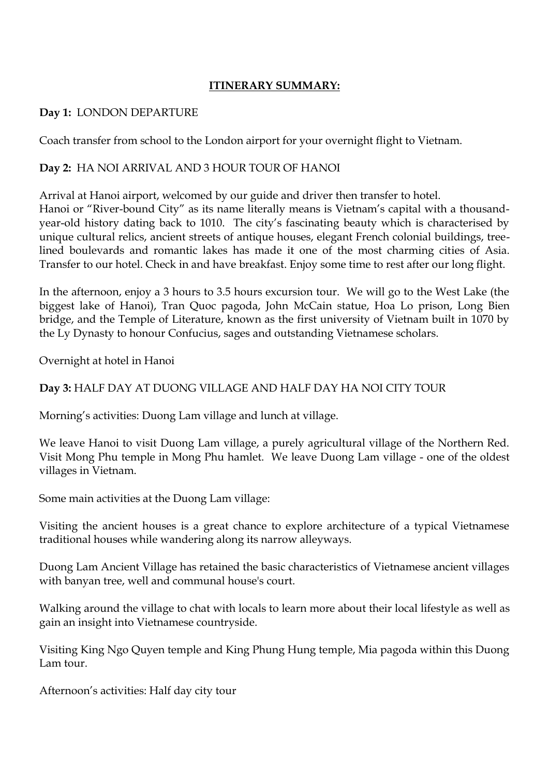# **ITINERARY SUMMARY:**

#### **Day 1:** LONDON DEPARTURE

Coach transfer from school to the London airport for your overnight flight to Vietnam.

### **Day 2:** HA NOI ARRIVAL AND 3 HOUR TOUR OF HANOI

Arrival at Hanoi airport, welcomed by our guide and driver then transfer to hotel. Hanoi or "River-bound City" as its name literally means is Vietnam's capital with a thousandyear-old history dating back to 1010. The city's fascinating beauty which is characterised by unique cultural relics, ancient streets of antique houses, elegant French colonial buildings, treelined boulevards and romantic lakes has made it one of the most charming cities of Asia. Transfer to our hotel. Check in and have breakfast. Enjoy some time to rest after our long flight.

In the afternoon, enjoy a 3 hours to 3.5 hours excursion tour. We will go to the West Lake (the biggest lake of Hanoi), Tran Quoc pagoda, John McCain statue, Hoa Lo prison, Long Bien bridge, and the Temple of Literature, known as the first university of Vietnam built in 1070 by the Ly Dynasty to honour Confucius, sages and outstanding Vietnamese scholars.

Overnight at hotel in Hanoi

### **Day 3:** HALF DAY AT DUONG VILLAGE AND HALF DAY HA NOI CITY TOUR

Morning's activities: Duong Lam village and lunch at village.

We leave Hanoi to visit Duong Lam village, a purely agricultural village of the Northern Red. Visit Mong Phu temple in Mong Phu hamlet. We leave Duong Lam village - one of the oldest villages in Vietnam.

Some main activities at the Duong Lam village:

Visiting the ancient houses is a great chance to explore architecture of a typical Vietnamese traditional houses while wandering along its narrow alleyways.

Duong Lam Ancient Village has retained the basic characteristics of Vietnamese ancient villages with banyan tree, well and communal house's court.

Walking around the village to chat with locals to learn more about their local lifestyle as well as gain an insight into Vietnamese countryside.

Visiting King Ngo Quyen temple and King Phung Hung temple, Mia pagoda within this Duong Lam tour.

Afternoon's activities: Half day city tour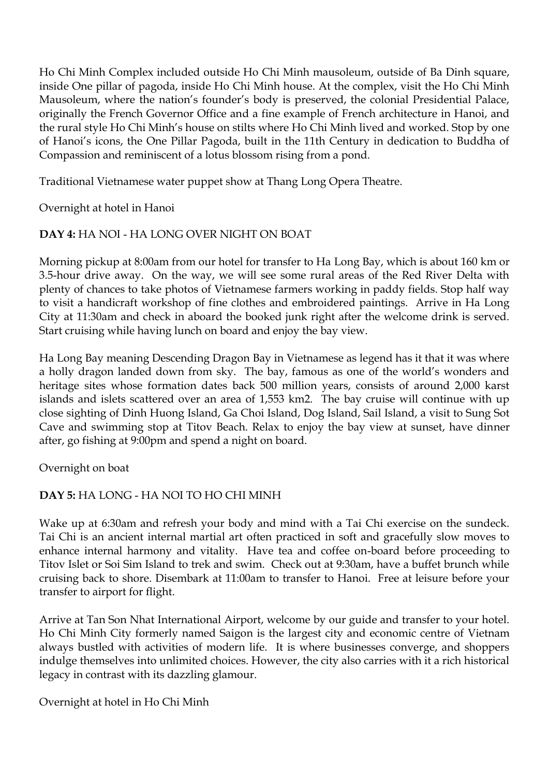Ho Chi Minh Complex included outside Ho Chi Minh mausoleum, outside of Ba Dinh square, inside One pillar of pagoda, inside Ho Chi Minh house. At the complex, visit the Ho Chi Minh Mausoleum, where the nation's founder's body is preserved, the colonial Presidential Palace, originally the French Governor Office and a fine example of French architecture in Hanoi, and the rural style Ho Chi Minh's house on stilts where Ho Chi Minh lived and worked. Stop by one of Hanoi's icons, the One Pillar Pagoda, built in the 11th Century in dedication to Buddha of Compassion and reminiscent of a lotus blossom rising from a pond.

Traditional Vietnamese water puppet show at Thang Long Opera Theatre.

Overnight at hotel in Hanoi

# **DAY 4:** HA NOI - HA LONG OVER NIGHT ON BOAT

Morning pickup at 8:00am from our hotel for transfer to Ha Long Bay, which is about 160 km or 3.5-hour drive away. On the way, we will see some rural areas of the Red River Delta with plenty of chances to take photos of Vietnamese farmers working in paddy fields. Stop half way to visit a handicraft workshop of fine clothes and embroidered paintings. Arrive in Ha Long City at 11:30am and check in aboard the booked junk right after the welcome drink is served. Start cruising while having lunch on board and enjoy the bay view.

Ha Long Bay meaning Descending Dragon Bay in Vietnamese as legend has it that it was where a holly dragon landed down from sky. The bay, famous as one of the world's wonders and heritage sites whose formation dates back 500 million years, consists of around 2,000 karst islands and islets scattered over an area of 1,553 km2. The bay cruise will continue with up close sighting of Dinh Huong Island, Ga Choi Island, Dog Island, Sail Island, a visit to Sung Sot Cave and swimming stop at Titov Beach. Relax to enjoy the bay view at sunset, have dinner after, go fishing at 9:00pm and spend a night on board.

Overnight on boat

# **DAY 5:** HA LONG - HA NOI TO HO CHI MINH

Wake up at 6:30am and refresh your body and mind with a Tai Chi exercise on the sundeck. Tai Chi is an ancient internal martial art often practiced in soft and gracefully slow moves to enhance internal harmony and vitality. Have tea and coffee on-board before proceeding to Titov Islet or Soi Sim Island to trek and swim. Check out at 9:30am, have a buffet brunch while cruising back to shore. Disembark at 11:00am to transfer to Hanoi. Free at leisure before your transfer to airport for flight.

Arrive at Tan Son Nhat International Airport, welcome by our guide and transfer to your hotel. Ho Chi Minh City formerly named Saigon is the largest city and economic centre of Vietnam always bustled with activities of modern life. It is where businesses converge, and shoppers indulge themselves into unlimited choices. However, the city also carries with it a rich historical legacy in contrast with its dazzling glamour.

# Overnight at hotel in Ho Chi Minh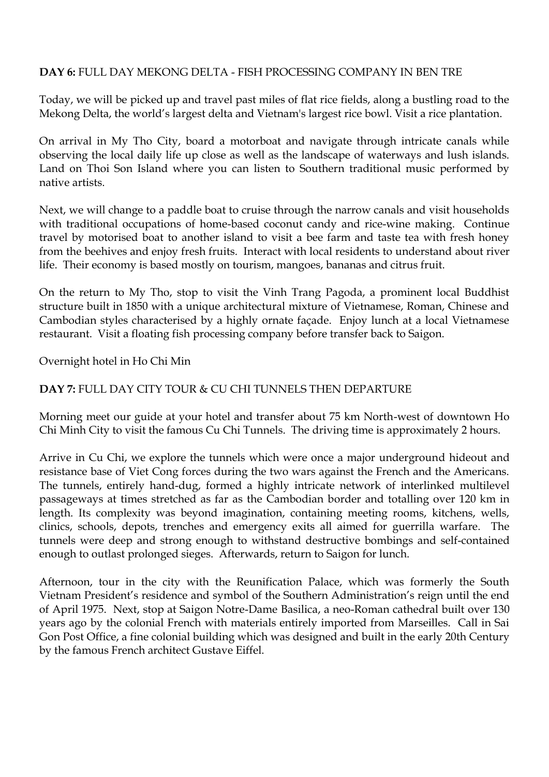### **DAY 6:** FULL DAY MEKONG DELTA - FISH PROCESSING COMPANY IN BEN TRE

Today, we will be picked up and travel past miles of flat rice fields, along a bustling road to the Mekong Delta, the world's largest delta and Vietnam's largest rice bowl. Visit a rice plantation.

On arrival in My Tho City, board a motorboat and navigate through intricate canals while observing the local daily life up close as well as the landscape of waterways and lush islands. Land on Thoi Son Island where you can listen to Southern traditional music performed by native artists.

Next, we will change to a paddle boat to cruise through the narrow canals and visit households with traditional occupations of home-based coconut candy and rice-wine making. Continue travel by motorised boat to another island to visit a bee farm and taste tea with fresh honey from the beehives and enjoy fresh fruits. Interact with local residents to understand about river life. Their economy is based mostly on tourism, mangoes, bananas and citrus fruit.

On the return to My Tho, stop to visit the Vinh Trang Pagoda, a prominent local Buddhist structure built in 1850 with a unique architectural mixture of Vietnamese, Roman, Chinese and Cambodian styles characterised by a highly ornate façade. Enjoy lunch at a local Vietnamese restaurant. Visit a floating fish processing company before transfer back to Saigon.

Overnight hotel in Ho Chi Min

# **DAY 7:** FULL DAY CITY TOUR & CU CHI TUNNELS THEN DEPARTURE

Morning meet our guide at your hotel and transfer about 75 km North-west of downtown Ho Chi Minh City to visit the famous Cu Chi Tunnels. The driving time is approximately 2 hours.

Arrive in Cu Chi, we explore the tunnels which were once a major underground hideout and resistance base of Viet Cong forces during the two wars against the French and the Americans. The tunnels, entirely hand-dug, formed a highly intricate network of interlinked multilevel passageways at times stretched as far as the Cambodian border and totalling over 120 km in length. Its complexity was beyond imagination, containing meeting rooms, kitchens, wells, clinics, schools, depots, trenches and emergency exits all aimed for guerrilla warfare. The tunnels were deep and strong enough to withstand destructive bombings and self-contained enough to outlast prolonged sieges. Afterwards, return to Saigon for lunch.

Afternoon, tour in the city with the Reunification Palace, which was formerly the South Vietnam President's residence and symbol of the Southern Administration's reign until the end of April 1975. Next, stop at Saigon Notre-Dame Basilica, a neo-Roman cathedral built over 130 years ago by the colonial French with materials entirely imported from Marseilles. Call in Sai Gon Post Office, a fine colonial building which was designed and built in the early 20th Century by the famous French architect Gustave Eiffel.